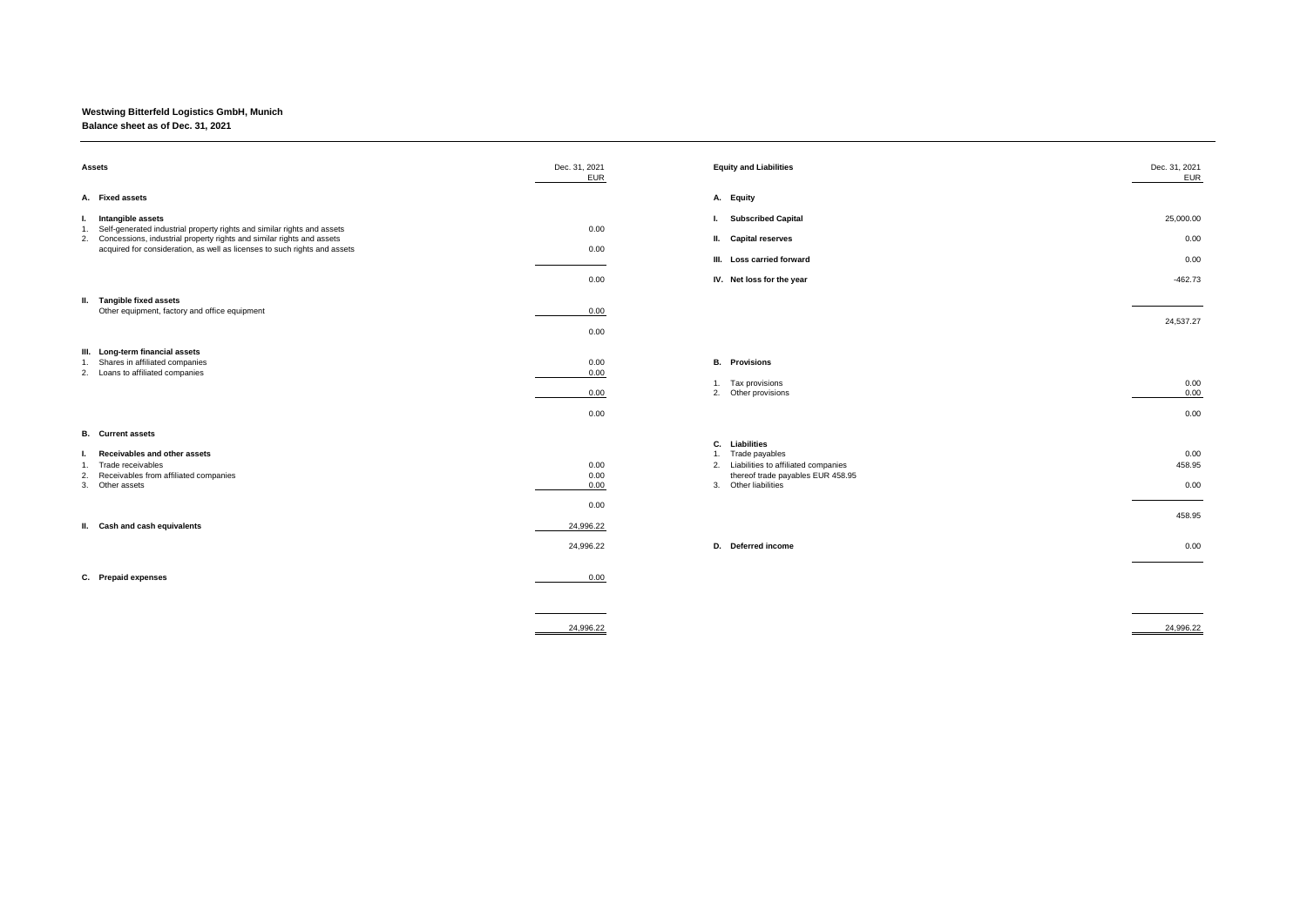## **Westwing Bitterfeld Logistics GmbH, Munich**

## **Balance sheet as of Dec. 31, 2021**

| <b>Assets</b>                                                                                                                                                                                                                                                                                                                                   | Dec. 31, 2021<br><b>EUR</b>          | <b>Equity and Liabilities</b>                                                                                                              | Dec. 31, 2021<br><b>EUR</b>                         |
|-------------------------------------------------------------------------------------------------------------------------------------------------------------------------------------------------------------------------------------------------------------------------------------------------------------------------------------------------|--------------------------------------|--------------------------------------------------------------------------------------------------------------------------------------------|-----------------------------------------------------|
| A. Fixed assets                                                                                                                                                                                                                                                                                                                                 |                                      | A. Equity                                                                                                                                  |                                                     |
| Intangible assets<br>L.<br>Self-generated industrial property rights and similar rights and assets<br>1.<br>2. Concessions, industrial property rights and similar rights and assets<br>acquired for consideration, as well as licenses to such rights and assets<br>II. Tangible fixed assets<br>Other equipment, factory and office equipment | 0.00<br>0.00<br>0.00<br>0.00<br>0.00 | I. Subscribed Capital<br>II. Capital reserves<br>III. Loss carried forward<br>IV. Net loss for the year                                    | 25,000.00<br>0.00<br>0.00<br>$-462.73$<br>24,537.27 |
| III. Long-term financial assets<br>1. Shares in affiliated companies<br>2. Loans to affiliated companies                                                                                                                                                                                                                                        | 0.00<br>0.00<br>0.00<br>0.00         | <b>B.</b> Provisions<br>1. Tax provisions<br>2. Other provisions                                                                           | 0.00<br>0.00<br>0.00                                |
| <b>B.</b> Current assets<br>Receivables and other assets<br>1. Trade receivables<br>Receivables from affiliated companies<br>2.<br>3. Other assets                                                                                                                                                                                              | 0.00<br>0.00<br>0.00                 | C. Liabilities<br>1. Trade payables<br>2. Liabilities to affiliated companies<br>thereof trade payables EUR 458.95<br>3. Other liabilities | 0.00<br>458.95<br>0.00                              |
| II. Cash and cash equivalents                                                                                                                                                                                                                                                                                                                   | 0.00<br>24,996.22<br>24,996.22       | D. Deferred income                                                                                                                         | 458.95<br>0.00                                      |
| C. Prepaid expenses                                                                                                                                                                                                                                                                                                                             | 0.00<br>24,996.22                    |                                                                                                                                            | 24,996.22                                           |

24,537.27

458.95